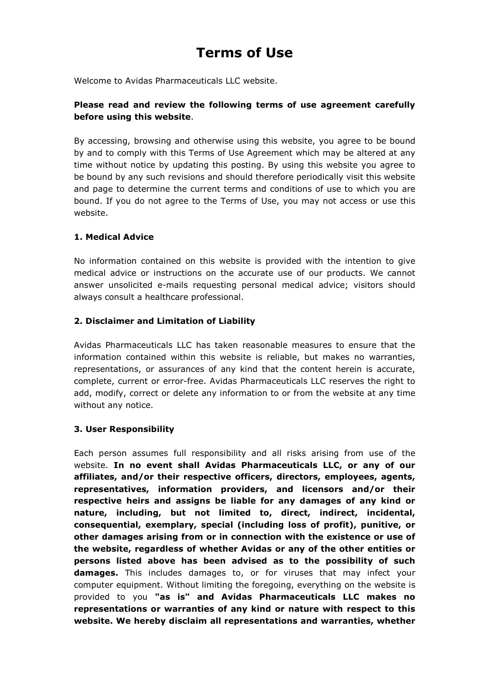# Terms of Use

Welcome to Avidas Pharmaceuticals LLC website.

# Please read and review the following terms of use agreement carefully before using this website.

By accessing, browsing and otherwise using this website, you agree to be bound by and to comply with this Terms of Use Agreement which may be altered at any time without notice by updating this posting. By using this website you agree to be bound by any such revisions and should therefore periodically visit this website and page to determine the current terms and conditions of use to which you are bound. If you do not agree to the Terms of Use, you may not access or use this website.

## 1. Medical Advice

No information contained on this website is provided with the intention to give medical advice or instructions on the accurate use of our products. We cannot answer unsolicited e-mails requesting personal medical advice; visitors should always consult a healthcare professional.

#### 2. Disclaimer and Limitation of Liability

Avidas Pharmaceuticals LLC has taken reasonable measures to ensure that the information contained within this website is reliable, but makes no warranties, representations, or assurances of any kind that the content herein is accurate, complete, current or error-free. Avidas Pharmaceuticals LLC reserves the right to add, modify, correct or delete any information to or from the website at any time without any notice.

#### 3. User Responsibility

Each person assumes full responsibility and all risks arising from use of the website. In no event shall Avidas Pharmaceuticals LLC, or any of our affiliates, and/or their respective officers, directors, employees, agents, representatives, information providers, and licensors and/or their respective heirs and assigns be liable for any damages of any kind or nature, including, but not limited to, direct, indirect, incidental, consequential, exemplary, special (including loss of profit), punitive, or other damages arising from or in connection with the existence or use of the website, regardless of whether Avidas or any of the other entities or persons listed above has been advised as to the possibility of such damages. This includes damages to, or for viruses that may infect your computer equipment. Without limiting the foregoing, everything on the website is provided to you "as is" and Avidas Pharmaceuticals LLC makes no representations or warranties of any kind or nature with respect to this website. We hereby disclaim all representations and warranties, whether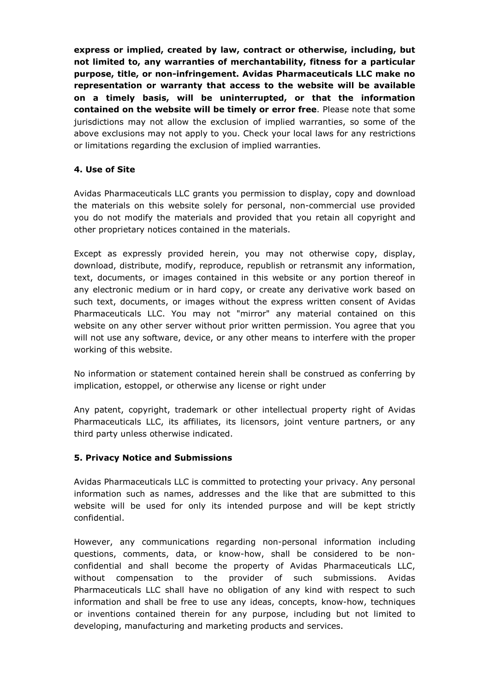express or implied, created by law, contract or otherwise, including, but not limited to, any warranties of merchantability, fitness for a particular purpose, title, or non-infringement. Avidas Pharmaceuticals LLC make no representation or warranty that access to the website will be available on a timely basis, will be uninterrupted, or that the information contained on the website will be timely or error free. Please note that some jurisdictions may not allow the exclusion of implied warranties, so some of the above exclusions may not apply to you. Check your local laws for any restrictions or limitations regarding the exclusion of implied warranties.

#### 4. Use of Site

Avidas Pharmaceuticals LLC grants you permission to display, copy and download the materials on this website solely for personal, non-commercial use provided you do not modify the materials and provided that you retain all copyright and other proprietary notices contained in the materials.

Except as expressly provided herein, you may not otherwise copy, display, download, distribute, modify, reproduce, republish or retransmit any information, text, documents, or images contained in this website or any portion thereof in any electronic medium or in hard copy, or create any derivative work based on such text, documents, or images without the express written consent of Avidas Pharmaceuticals LLC. You may not "mirror" any material contained on this website on any other server without prior written permission. You agree that you will not use any software, device, or any other means to interfere with the proper working of this website.

No information or statement contained herein shall be construed as conferring by implication, estoppel, or otherwise any license or right under

Any patent, copyright, trademark or other intellectual property right of Avidas Pharmaceuticals LLC, its affiliates, its licensors, joint venture partners, or any third party unless otherwise indicated.

#### 5. Privacy Notice and Submissions

Avidas Pharmaceuticals LLC is committed to protecting your privacy. Any personal information such as names, addresses and the like that are submitted to this website will be used for only its intended purpose and will be kept strictly confidential.

However, any communications regarding non-personal information including questions, comments, data, or know-how, shall be considered to be nonconfidential and shall become the property of Avidas Pharmaceuticals LLC, without compensation to the provider of such submissions. Avidas Pharmaceuticals LLC shall have no obligation of any kind with respect to such information and shall be free to use any ideas, concepts, know-how, techniques or inventions contained therein for any purpose, including but not limited to developing, manufacturing and marketing products and services.